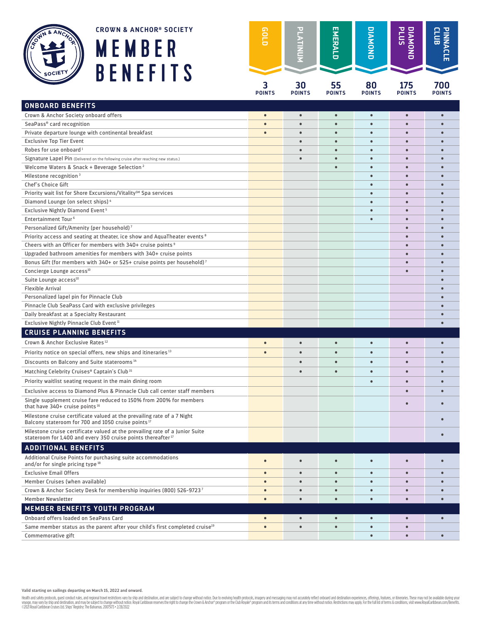





| <b>CROWN &amp; ANCHOR® SOCIETY</b><br>MEMBER                                                                                                                                            | eorp               |                     | EMERALD             | ONONDIO             | <b>PLUS</b><br>ONONDI  |                        |
|-----------------------------------------------------------------------------------------------------------------------------------------------------------------------------------------|--------------------|---------------------|---------------------|---------------------|------------------------|------------------------|
| <b>BENEFITS</b>                                                                                                                                                                         | 3<br><b>POINTS</b> | 30<br><b>POINTS</b> | 55<br><b>POINTS</b> | 80<br><b>POINTS</b> | 175<br><b>POINTS</b>   | 700<br><b>POINTS</b>   |
| <b>ONBOARD BENEFITS</b>                                                                                                                                                                 |                    |                     |                     |                     |                        |                        |
| Crown & Anchor Society onboard offers                                                                                                                                                   | $\bullet$          | $\bullet$           | $\bullet$           | $\bullet$           | $\bullet$              | $\bullet$              |
| SeaPass® card recognition                                                                                                                                                               | $\bullet$          | $\bullet$           | $\bullet$           | $\bullet$           | $\bullet$              |                        |
| Private departure lounge with continental breakfast                                                                                                                                     | $\bullet$          |                     | $\bullet$           | $\bullet$           | $\bullet$              |                        |
| <b>Exclusive Top Tier Event</b>                                                                                                                                                         |                    | $\bullet$           | $\bullet$           | $\bullet$           | $\bullet$              | $\bullet$              |
| Robes for use onboard <sup>1</sup>                                                                                                                                                      |                    |                     | $\bullet$           | $\bullet$           | $\bullet$              |                        |
| Signature Lapel Pin (Delivered on the following cruise after reaching new status.)                                                                                                      |                    |                     |                     |                     |                        |                        |
| Welcome Waters & Snack + Beverage Selection <sup>2</sup>                                                                                                                                |                    |                     |                     | $\bullet$           | $\bullet$              |                        |
| Milestone recognition <sup>3</sup>                                                                                                                                                      |                    |                     |                     | $\bullet$           |                        |                        |
| Chef's Choice Gift                                                                                                                                                                      |                    |                     |                     | $\bullet$           |                        |                        |
| Priority wait list for Shore Excursions/Vitality <sup>SM</sup> Spa services                                                                                                             |                    |                     |                     |                     | $\bullet$              |                        |
| Diamond Lounge (on select ships) <sup>4</sup>                                                                                                                                           |                    |                     |                     |                     |                        |                        |
| Exclusive Nightly Diamond Event <sup>5</sup>                                                                                                                                            |                    |                     |                     |                     |                        |                        |
| Entertainment Tour <sup>6</sup>                                                                                                                                                         |                    |                     |                     | $\bullet$           | $\bullet$              |                        |
| Personalized Gift/Amenity (per household) <sup>7</sup>                                                                                                                                  |                    |                     |                     |                     | $\bullet$              |                        |
| Priority access and seating at theater, ice show and AquaTheater events <sup>8</sup>                                                                                                    |                    |                     |                     |                     | $\bullet$              |                        |
| Cheers with an Officer for members with 340+ cruise points <sup>9</sup>                                                                                                                 |                    |                     |                     |                     | $\bullet$              | $\bullet$              |
| Upgraded bathroom amenities for members with 340+ cruise points                                                                                                                         |                    |                     |                     |                     | $\bullet$              |                        |
| Bonus Gift (for members with 340+ or 525+ cruise points per household) <sup>7</sup>                                                                                                     |                    |                     |                     |                     |                        |                        |
| Concierge Lounge access <sup>10</sup>                                                                                                                                                   |                    |                     |                     |                     | $\bullet$              |                        |
| Suite Lounge access <sup>10</sup>                                                                                                                                                       |                    |                     |                     |                     |                        |                        |
| <b>Flexible Arrival</b>                                                                                                                                                                 |                    |                     |                     |                     |                        |                        |
| Personalized lapel pin for Pinnacle Club                                                                                                                                                |                    |                     |                     |                     |                        |                        |
| Pinnacle Club SeaPass Card with exclusive privileges                                                                                                                                    |                    |                     |                     |                     |                        |                        |
| Daily breakfast at a Specialty Restaurant                                                                                                                                               |                    |                     |                     |                     |                        |                        |
| Exclusive Nightly Pinnacle Club Event <sup>11</sup>                                                                                                                                     |                    |                     |                     |                     |                        |                        |
| <b>CRUISE PLANNING BENEFITS</b>                                                                                                                                                         |                    |                     |                     |                     |                        |                        |
| Crown & Anchor Exclusive Rates <sup>12</sup>                                                                                                                                            | $\bullet$          | $\bullet$           | $\bullet$           | $\bullet$           | $\bullet$              |                        |
| Priority notice on special offers, new ships and itineraries <sup>13</sup>                                                                                                              | $\bullet$          |                     |                     |                     | $\bullet$              |                        |
| Discounts on Balcony and Suite staterooms <sup>14</sup>                                                                                                                                 |                    | $\bullet$           |                     | $\bullet$           | $\bullet$              |                        |
| Matching Celebrity Cruises® Captain's Club <sup>15</sup>                                                                                                                                |                    |                     |                     |                     |                        |                        |
| Priority waitlist seating request in the main dining room                                                                                                                               |                    |                     |                     |                     |                        |                        |
|                                                                                                                                                                                         |                    |                     |                     |                     |                        |                        |
| Exclusive access to Diamond Plus & Pinnacle Club call center staff members<br>Single supplement cruise fare reduced to 150% from 200% for members                                       |                    |                     |                     |                     | $\bullet$<br>$\bullet$ | $\bullet$<br>$\bullet$ |
| that have 340+ cruise points <sup>16</sup><br>Milestone cruise certificate valued at the prevailing rate of a 7 Night<br>Balcony stateroom for 700 and 1050 cruise points <sup>17</sup> |                    |                     |                     |                     |                        |                        |
| Milestone cruise certificate valued at the prevailing rate of a Junior Suite<br>stateroom for 1,400 and every 350 cruise points thereafter <sup>17</sup>                                |                    |                     |                     |                     |                        |                        |
|                                                                                                                                                                                         |                    |                     |                     |                     |                        |                        |
| <b>ADDITIONAL BENEFITS</b>                                                                                                                                                              |                    |                     |                     |                     |                        |                        |
| Additional Cruise Points for purchasing suite accommodations<br>and/or for single pricing type 18                                                                                       | $\bullet$          | $\bullet$           | $\bullet$           | $\bullet$           | $\bullet$              | $\bullet$              |
| <b>Exclusive Email Offers</b>                                                                                                                                                           | $\bullet$          | $\bullet$           | $\bullet$           | $\bullet$           | $\bullet$              | $\bullet$              |
| Member Cruises (when available)                                                                                                                                                         | $\bullet$          | $\bullet$           | $\bullet$           | $\bullet$           | $\bullet$              | $\bullet$              |
| Crown & Anchor Society Desk for membership inquiries (800) 526-97237                                                                                                                    | $\bullet$          | $\bullet$           | $\bullet$           | $\bullet$           | $\bullet$              | $\bullet$              |
| <b>Member Newsletter</b>                                                                                                                                                                | $\bullet$          | $\bullet$           | $\bullet$           | $\bullet$           | $\bullet$              | $\bullet$              |
| MEMBER BENEFITS YOUTH PROGRAM                                                                                                                                                           |                    |                     |                     |                     |                        |                        |
| Onboard offers loaded on SeaPass Card                                                                                                                                                   | $\bullet$          | $\bullet$           | $\bullet$           | $\bullet$           | $\bullet$              | $\bullet$              |
| Same member status as the parent after your child's first completed cruise <sup>19</sup>                                                                                                | $\bullet$          | $\bullet$           | $\bullet$           | $\bullet$           | $\bullet$              |                        |
| Commemorative gift                                                                                                                                                                      |                    |                     |                     | $\bullet$           | $\bullet$              | $\bullet$              |

**Valid starting on sailings departing on March 15, 2022 and onward.**

Health and safety probook, guest conduct rules, and rejonal travel redividiors vary by ship and destination, and are subject to change without notice. Due to evolving health prodock, imagey and messaging may not accudely r